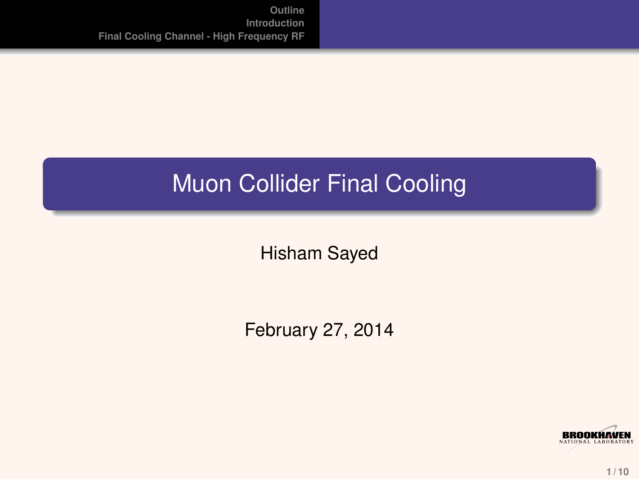### Muon Collider Final Cooling

Hisham Sayed

February 27, 2014

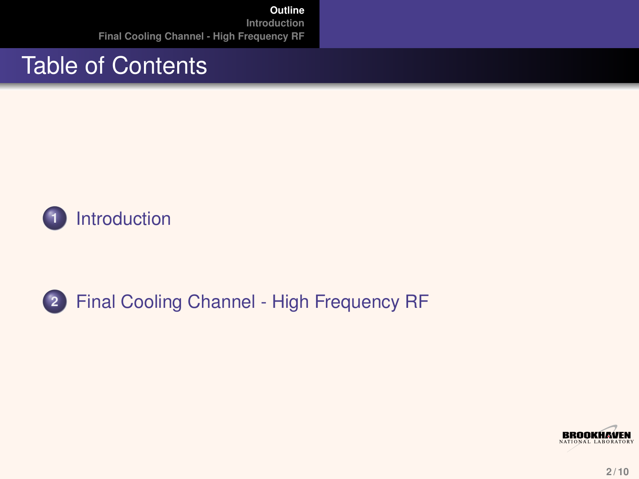#### Table of Contents



#### **2** [Final Cooling Channel - High Frequency RF](#page-3-0)

<span id="page-1-0"></span>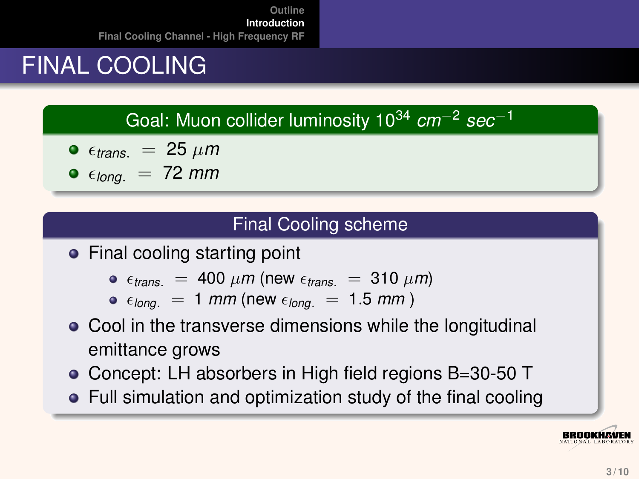## FINAL COOLING

Goal: Muon collider luminosity 10<sup>34</sup> *cm*−<sup>2</sup> *sec*−<sup>1</sup>

• 
$$
\epsilon_{trans.}
$$
 = 25  $\mu m$ 

 $\bullet$   $\epsilon_{long.}$  = 72 *mm* 

#### <span id="page-2-0"></span>Final Cooling scheme

• Final cooling starting point

- $\epsilon_{trans}$  = 400  $\mu$ m (new  $\epsilon_{trans}$  = 310  $\mu$ m)
- $\epsilon_{long.}$  = 1 *mm* (new  $\epsilon_{long.}$  = 1.5 *mm*)
- Cool in the transverse dimensions while the longitudinal emittance grows
- Concept: LH absorbers in High field regions B=30-50 T
- Full simulation and optimization study of the final cooling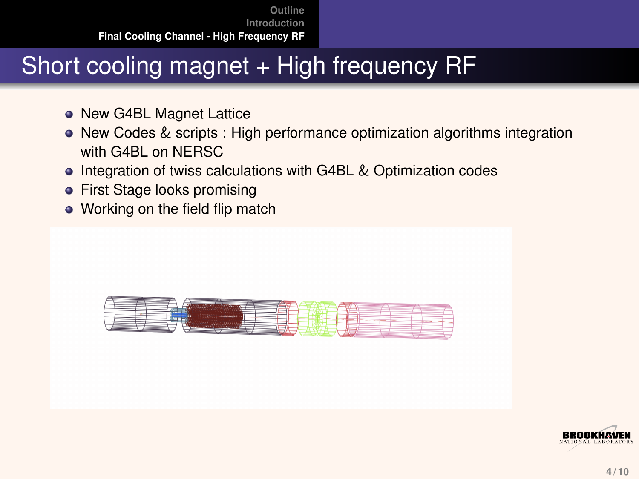### Short cooling magnet + High frequency RF

- New G4BL Magnet Lattice
- New Codes & scripts : High performance optimization algorithms integration with G4BL on NERSC
- **Integration of twiss calculations with G4BL & Optimization codes**
- First Stage looks promising
- Working on the field flip match



<span id="page-3-0"></span>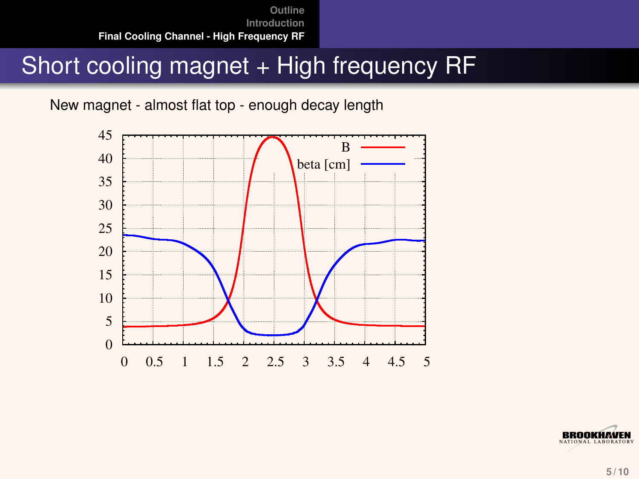#### Short cooling magnet + High frequency RF

New magnet - almost flat top - enough decay length



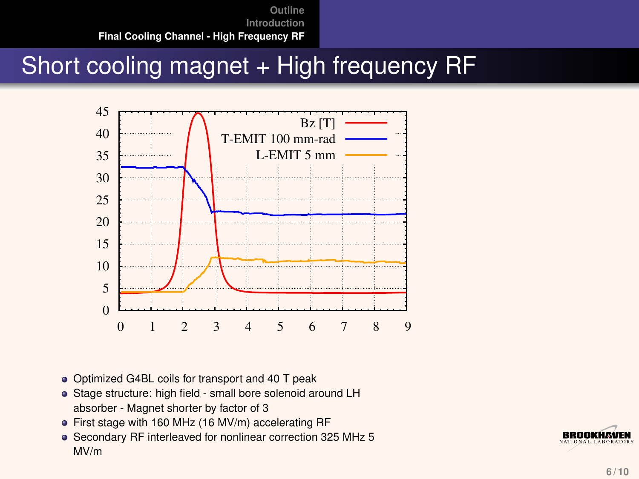#### Short cooling magnet + High frequency RF



- Optimized G4BL coils for transport and 40 T peak
- Stage structure: high field small bore solenoid around LH absorber - Magnet shorter by factor of 3
- First stage with 160 MHz (16 MV/m) accelerating RF
- Secondary RF interleaved for nonlinear correction 325 MHz 5 MV/m

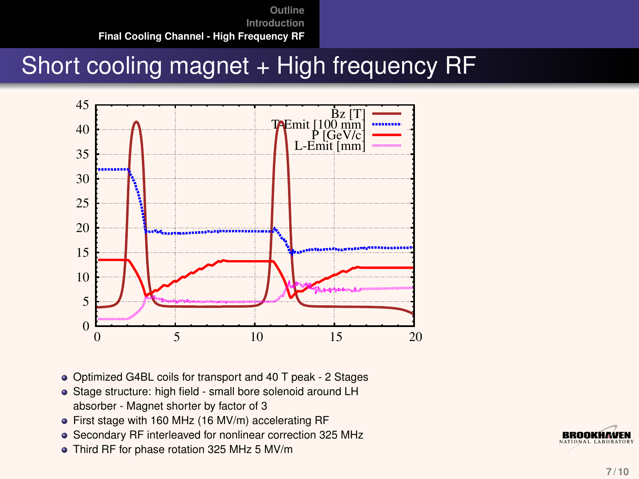#### Short cooling magnet + High frequency RF



- Optimized G4BL coils for transport and 40 T peak 2 Stages
- Stage structure: high field small bore solenoid around LH absorber - Magnet shorter by factor of 3
- First stage with 160 MHz (16 MV/m) accelerating RF
- Secondary RF interleaved for nonlinear correction 325 MHz
- Third RF for phase rotation 325 MHz 5 MV/m

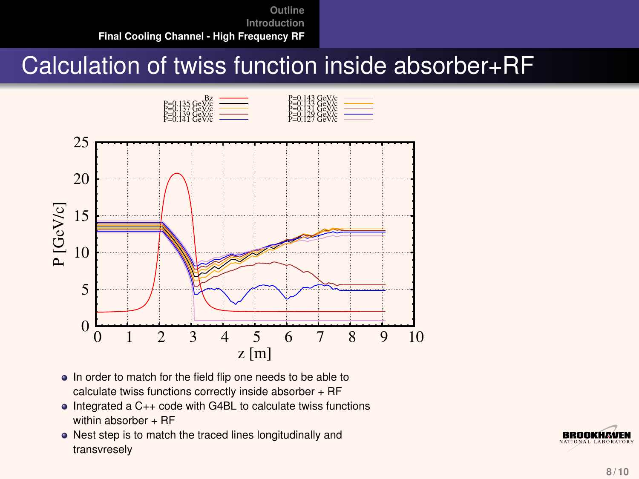#### Calculation of twiss function inside absorber+RF



- In order to match for the field flip one needs to be able to calculate twiss functions correctly inside absorber + RF
- Integrated a C++ code with G4BL to calculate twiss functions within absorber  $+$  RF
- Nest step is to match the traced lines longitudinally and transvresely

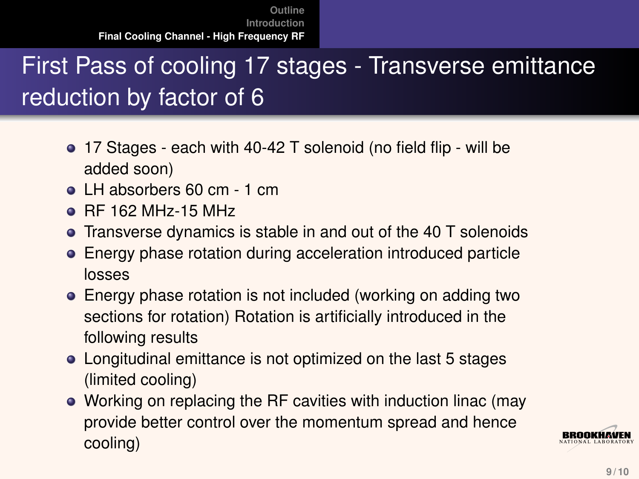# First Pass of cooling 17 stages - Transverse emittance reduction by factor of 6

- 17 Stages each with 40-42 T solenoid (no field flip will be added soon)
- le LH absorbers 60 cm 1 cm
- RF 162 MHz-15 MHz
- Transverse dynamics is stable in and out of the 40 T solenoids
- Energy phase rotation during acceleration introduced particle losses
- Energy phase rotation is not included (working on adding two sections for rotation) Rotation is artificially introduced in the following results
- Longitudinal emittance is not optimized on the last 5 stages (limited cooling)
- Working on replacing the RF cavities with induction linac (may provide better control over the momentum spread and hence cooling)